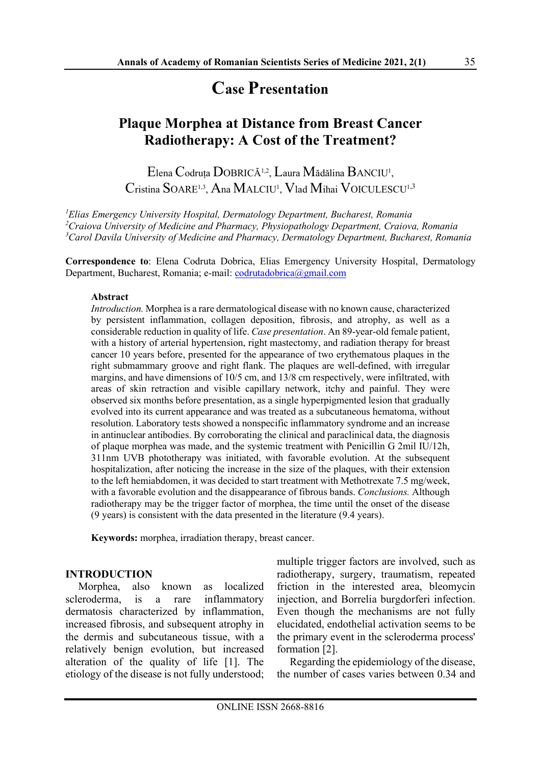# Case Presentation

## Plaque Morphea at Distance from Breast Cancer Radiotherapy: A Cost of the Treatment?

Elena Codruța DOBRICĂ<sup>1,2</sup>, Laura Mădălina BANCIU<sup>1</sup>, Cristina SOARE<sup>1,3</sup>, Ana MALCIU<sup>1</sup>, Vlad Mihai VOICULESCU<sup>1,3</sup>

 ${}^{1}$ Elias Emergency University Hospital, Dermatology Department, Bucharest, Romania  $^{2}$ Craiova University of Medicine and Pharmacy, Physiopathology Department, Craiova, Romania  $3$ Carol Davila University of Medicine and Pharmacy, Dermatology Department, Bucharest, Romania

Correspondence to: Elena Codruta Dobrica, Elias Emergency University Hospital, Dermatology Department, Bucharest, Romania; e-mail: codrutadobrica@gmail.com

#### Abstract

Introduction. Morphea is a rare dermatological disease with no known cause, characterized by persistent inflammation, collagen deposition, fibrosis, and atrophy, as well as a considerable reduction in quality of life. Case presentation. An 89-year-old female patient, with a history of arterial hypertension, right mastectomy, and radiation therapy for breast cancer 10 years before, presented for the appearance of two erythematous plaques in the right submammary groove and right flank. The plaques are well-defined, with irregular margins, and have dimensions of 10/5 cm, and 13/8 cm respectively, were infiltrated, with areas of skin retraction and visible capillary network, itchy and painful. They were observed six months before presentation, as a single hyperpigmented lesion that gradually evolved into its current appearance and was treated as a subcutaneous hematoma, without resolution. Laboratory tests showed a nonspecific inflammatory syndrome and an increase in antinuclear antibodies. By corroborating the clinical and paraclinical data, the diagnosis of plaque morphea was made, and the systemic treatment with Penicillin G 2mil IU/12h, 311nm UVB phototherapy was initiated, with favorable evolution. At the subsequent hospitalization, after noticing the increase in the size of the plaques, with their extension to the left hemiabdomen, it was decided to start treatment with Methotrexate 7.5 mg/week, with a favorable evolution and the disappearance of fibrous bands. Conclusions. Although radiotherapy may be the trigger factor of morphea, the time until the onset of the disease (9 years) is consistent with the data presented in the literature (9.4 years).

Keywords: morphea, irradiation therapy, breast cancer.

#### INTRODUCTION

Morphea, also known as localized scleroderma, is a rare inflammatory dermatosis characterized by inflammation, increased fibrosis, and subsequent atrophy in the dermis and subcutaneous tissue, with a relatively benign evolution, but increased alteration of the quality of life [1]. The etiology of the disease is not fully understood; multiple trigger factors are involved, such as radiotherapy, surgery, traumatism, repeated friction in the interested area, bleomycin injection, and Borrelia burgdorferi infection. Even though the mechanisms are not fully elucidated, endothelial activation seems to be the primary event in the scleroderma process' formation [2].

Regarding the epidemiology of the disease, the number of cases varies between 0.34 and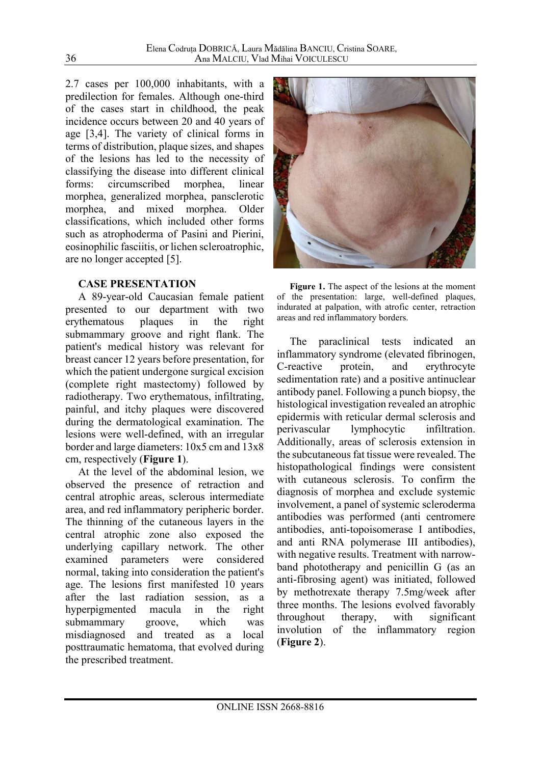2.7 cases per 100,000 inhabitants, with a predilection for females. Although one-third of the cases start in childhood, the peak incidence occurs between 20 and 40 years of age [3,4]. The variety of clinical forms in terms of distribution, plaque sizes, and shapes of the lesions has led to the necessity of classifying the disease into different clinical forms: circumscribed morphea, linear morphea, generalized morphea, pansclerotic morphea, and mixed morphea. Older classifications, which included other forms such as atrophoderma of Pasini and Pierini, eosinophilic fasciitis, or lichen scleroatrophic, are no longer accepted [5].

#### CASE PRESENTATION

A 89-year-old Caucasian female patient presented to our department with two erythematous plaques in the right submammary groove and right flank. The patient's medical history was relevant for breast cancer 12 years before presentation, for which the patient undergone surgical excision (complete right mastectomy) followed by radiotherapy. Two erythematous, infiltrating, painful, and itchy plaques were discovered during the dermatological examination. The lesions were well-defined, with an irregular border and large diameters: 10x5 cm and 13x8 cm, respectively (Figure 1).

At the level of the abdominal lesion, we observed the presence of retraction and central atrophic areas, sclerous intermediate area, and red inflammatory peripheric border. The thinning of the cutaneous layers in the central atrophic zone also exposed the underlying capillary network. The other examined parameters were considered normal, taking into consideration the patient's age. The lesions first manifested 10 years after the last radiation session, as a hyperpigmented macula in the right submammary groove, which was misdiagnosed and treated as a local posttraumatic hematoma, that evolved during the prescribed treatment.



Figure 1. The aspect of the lesions at the moment of the presentation: large, well-defined plaques, indurated at palpation, with atrofic center, retraction areas and red inflammatory borders.

The paraclinical tests indicated an inflammatory syndrome (elevated fibrinogen, C-reactive protein, and erythrocyte sedimentation rate) and a positive antinuclear antibody panel. Following a punch biopsy, the histological investigation revealed an atrophic epidermis with reticular dermal sclerosis and perivascular lymphocytic infiltration. Additionally, areas of sclerosis extension in the subcutaneous fat tissue were revealed. The histopathological findings were consistent with cutaneous sclerosis. To confirm the diagnosis of morphea and exclude systemic involvement, a panel of systemic scleroderma antibodies was performed (anti centromere antibodies, anti-topoisomerase I antibodies, and anti RNA polymerase III antibodies), with negative results. Treatment with narrowband phototherapy and penicillin G (as an anti-fibrosing agent) was initiated, followed by methotrexate therapy 7.5mg/week after three months. The lesions evolved favorably throughout therapy, with significant involution of the inflammatory region (Figure 2).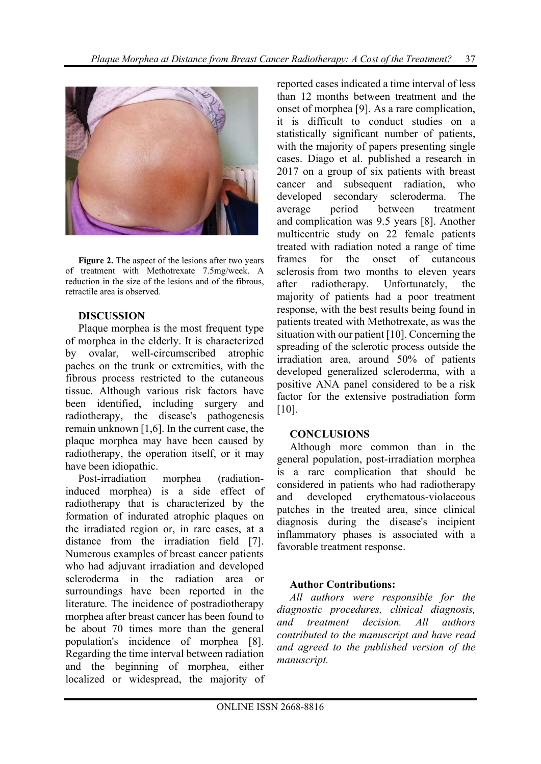

Figure 2. The aspect of the lesions after two years of treatment with Methotrexate 7.5mg/week. A reduction in the size of the lesions and of the fibrous, retractile area is observed.

## **DISCUSSION**

Plaque morphea is the most frequent type of morphea in the elderly. It is characterized by ovalar, well-circumscribed atrophic paches on the trunk or extremities, with the fibrous process restricted to the cutaneous tissue. Although various risk factors have been identified, including surgery and radiotherapy, the disease's pathogenesis remain unknown [1,6]. In the current case, the plaque morphea may have been caused by radiotherapy, the operation itself, or it may have been idiopathic.

Post-irradiation morphea (radiationinduced morphea) is a side effect of radiotherapy that is characterized by the formation of indurated atrophic plaques on the irradiated region or, in rare cases, at a distance from the irradiation field [7]. Numerous examples of breast cancer patients who had adjuvant irradiation and developed scleroderma in the radiation area or surroundings have been reported in the literature. The incidence of postradiotherapy morphea after breast cancer has been found to be about 70 times more than the general population's incidence of morphea [8]. Regarding the time interval between radiation and the beginning of morphea, either localized or widespread, the majority of reported cases indicated a time interval of less than 12 months between treatment and the onset of morphea [9]. As a rare complication, it is difficult to conduct studies on a statistically significant number of patients, with the majority of papers presenting single cases. Diago et al. published a research in 2017 on a group of six patients with breast cancer and subsequent radiation, who developed secondary scleroderma. The average period between treatment and complication was 9.5 years [8]. Another multicentric study on 22 female patients treated with radiation noted a range of time frames for the onset of cutaneous sclerosis from two months to eleven years after radiotherapy. Unfortunately, the majority of patients had a poor treatment response, with the best results being found in patients treated with Methotrexate, as was the situation with our patient [10]. Concerning the spreading of the sclerotic process outside the irradiation area, around 50% of patients developed generalized scleroderma, with a positive ANA panel considered to be a risk factor for the extensive postradiation form [10].

#### **CONCLUSIONS**

Although more common than in the general population, post-irradiation morphea is a rare complication that should be considered in patients who had radiotherapy and developed erythematous-violaceous patches in the treated area, since clinical diagnosis during the disease's incipient inflammatory phases is associated with a favorable treatment response.

## Author Contributions:

All authors were responsible for the diagnostic procedures, clinical diagnosis, and treatment decision. All authors contributed to the manuscript and have read and agreed to the published version of the manuscript.